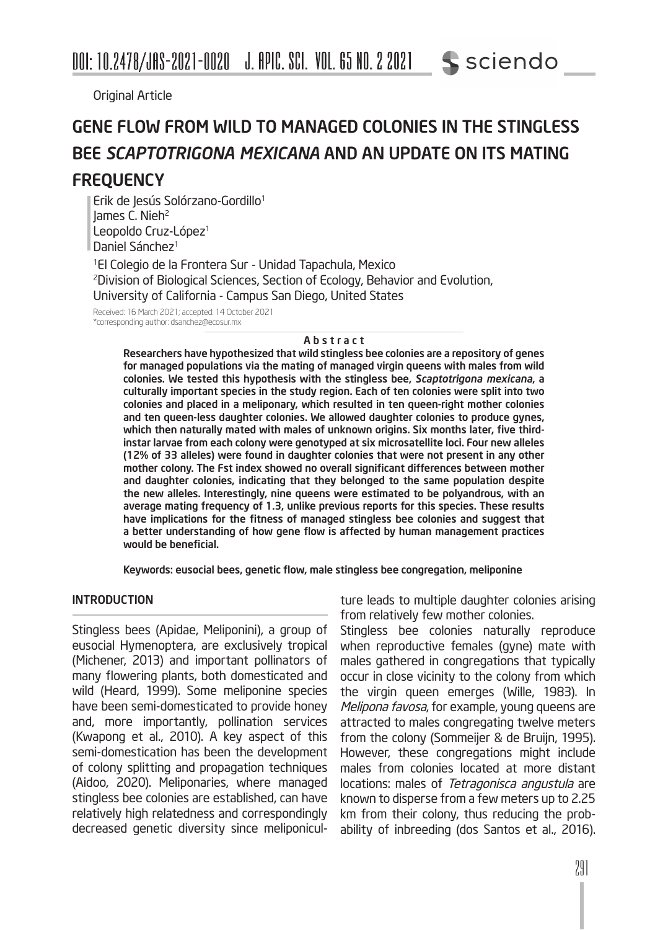Original Article

### GENE FLOW FROM WILD TO MANAGED COLONIES IN THE STINGLESS BEE *SCAPTOTRIGONA MEXICANA* AND AN UPDATE ON ITS MATING **FREQUENCY**

Erik de Jesús Solórzano-Gordillo<sup>1</sup> James C. Nieh<sup>2</sup> Leopoldo Cruz-López<sup>1</sup> Daniel Sánchez<sup>1</sup>

1El Colegio de la Frontera Sur - Unidad Tapachula, Mexico 2Division of Biological Sciences, Section of Ecology, Behavior and Evolution, University of California - Campus San Diego, United States

Received: 16 March 2021; accepted: 14 October 2021 \*corresponding author: dsanchez@ecosur.mx

#### Abstract

Researchers have hypothesized that wild stingless bee colonies are a repository of genes for managed populations via the mating of managed virgin queens with males from wild colonies. We tested this hypothesis with the stingless bee, *Scaptotrigona mexicana*, a culturally important species in the study region. Each of ten colonies were split into two colonies and placed in a meliponary, which resulted in ten queen-right mother colonies and ten queen-less daughter colonies. We allowed daughter colonies to produce gynes, which then naturally mated with males of unknown origins. Six months later, five thirdinstar larvae from each colony were genotyped at six microsatellite loci. Four new alleles (12% of 33 alleles) were found in daughter colonies that were not present in any other mother colony. The Fst index showed no overall significant differences between mother and daughter colonies, indicating that they belonged to the same population despite the new alleles. Interestingly, nine queens were estimated to be polyandrous, with an average mating frequency of 1.3, unlike previous reports for this species. These results have implications for the fitness of managed stingless bee colonies and suggest that a better understanding of how gene flow is affected by human management practices would be beneficial.

Keywords: eusocial bees, genetic flow, male stingless bee congregation, meliponine

#### INTRODUCTION

Stingless bees (Apidae, Meliponini), a group of eusocial Hymenoptera, are exclusively tropical (Michener, 2013) and important pollinators of many flowering plants, both domesticated and wild (Heard, 1999). Some meliponine species have been semi-domesticated to provide honey and, more importantly, pollination services (Kwapong et al., 2010). A key aspect of this semi-domestication has been the development of colony splitting and propagation techniques (Aidoo, 2020). Meliponaries, where managed stingless bee colonies are established, can have relatively high relatedness and correspondingly decreased genetic diversity since meliponiculture leads to multiple daughter colonies arising from relatively few mother colonies.

Stingless bee colonies naturally reproduce when reproductive females (gyne) mate with males gathered in congregations that typically occur in close vicinity to the colony from which the virgin queen emerges (Wille, 1983). In Melipona favosa, for example, young queens are attracted to males congregating twelve meters from the colony (Sommeijer & de Bruijn, 1995). However, these congregations might include males from colonies located at more distant locations: males of Tetragonisca angustula are known to disperse from a few meters up to 2.25 km from their colony, thus reducing the probability of inbreeding (dos Santos et al., 2016).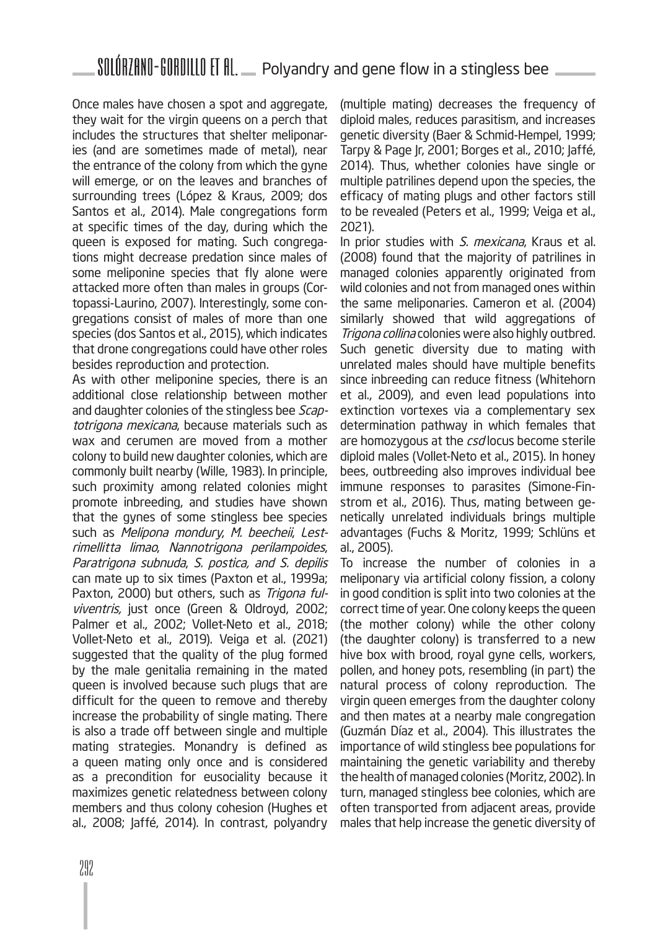Once males have chosen a spot and aggregate, they wait for the virgin queens on a perch that includes the structures that shelter meliponaries (and are sometimes made of metal), near the entrance of the colony from which the gyne will emerge, or on the leaves and branches of surrounding trees (López & Kraus, 2009; dos Santos et al., 2014). Male congregations form at specific times of the day, during which the queen is exposed for mating. Such congregations might decrease predation since males of some meliponine species that fly alone were attacked more often than males in groups (Cortopassi-Laurino, 2007). Interestingly, some congregations consist of males of more than one species (dos Santos et al., 2015), which indicates that drone congregations could have other roles besides reproduction and protection.

As with other meliponine species, there is an additional close relationship between mother and daughter colonies of the stingless bee Scaptotrigona mexicana, because materials such as wax and cerumen are moved from a mother colony to build new daughter colonies, which are commonly built nearby (Wille, 1983). In principle, such proximity among related colonies might promote inbreeding, and studies have shown that the gynes of some stingless bee species such as Melipona mondury, M. beecheii, Lestrimellitta limao, Nannotrigona perilampoides, Paratrigona subnuda, S. postica, and S. depilis can mate up to six times (Paxton et al., 1999a; Paxton, 2000) but others, such as Trigona fulviventris, just once (Green & Oldroyd, 2002; Palmer et al., 2002; Vollet-Neto et al., 2018; Vollet-Neto et al., 2019). Veiga et al. (2021) suggested that the quality of the plug formed by the male genitalia remaining in the mated queen is involved because such plugs that are difficult for the queen to remove and thereby increase the probability of single mating. There is also a trade off between single and multiple mating strategies. Monandry is defined as a queen mating only once and is considered as a precondition for eusociality because it maximizes genetic relatedness between colony members and thus colony cohesion (Hughes et al., 2008; Jaffé, 2014). In contrast, polyandry

(multiple mating) decreases the frequency of diploid males, reduces parasitism, and increases genetic diversity (Baer & Schmid-Hempel, 1999; Tarpy & Page Jr, 2001; Borges et al., 2010; Jaffé, 2014). Thus, whether colonies have single or multiple patrilines depend upon the species, the efficacy of mating plugs and other factors still to be revealed (Peters et al., 1999; Veiga et al., 2021).

In prior studies with S. mexicana, Kraus et al. (2008) found that the majority of patrilines in managed colonies apparently originated from wild colonies and not from managed ones within the same meliponaries. Cameron et al. (2004) similarly showed that wild aggregations of Trigona collina colonies were also highly outbred. Such genetic diversity due to mating with unrelated males should have multiple benefits since inbreeding can reduce fitness (Whitehorn et al., 2009), and even lead populations into extinction vortexes via a complementary sex determination pathway in which females that are homozygous at the csd locus become sterile diploid males (Vollet-Neto et al., 2015). In honey bees, outbreeding also improves individual bee immune responses to parasites (Simone-Finstrom et al., 2016). Thus, mating between genetically unrelated individuals brings multiple advantages (Fuchs & Moritz, 1999; Schlüns et al., 2005).

To increase the number of colonies in a meliponary via artificial colony fission, a colony in good condition is split into two colonies at the correct time of year. One colony keeps the queen (the mother colony) while the other colony (the daughter colony) is transferred to a new hive box with brood, royal gyne cells, workers, pollen, and honey pots, resembling (in part) the natural process of colony reproduction. The virgin queen emerges from the daughter colony and then mates at a nearby male congregation (Guzmán Díaz et al., 2004). This illustrates the importance of wild stingless bee populations for maintaining the genetic variability and thereby the health of managed colonies (Moritz, 2002). In turn, managed stingless bee colonies, which are often transported from adjacent areas, provide males that help increase the genetic diversity of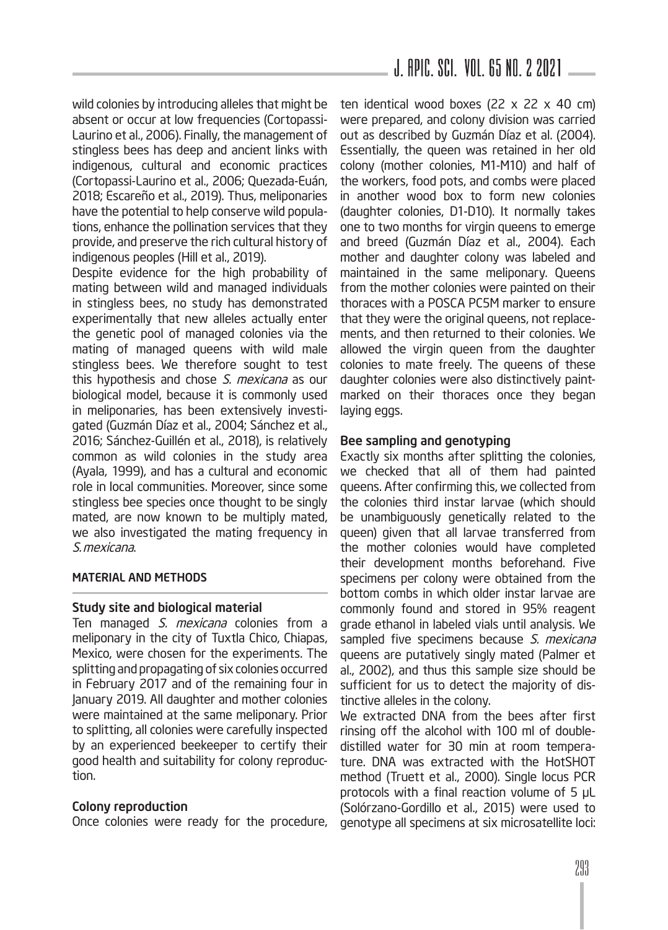wild colonies by introducing alleles that might be absent or occur at low frequencies (Cortopassi-Laurino et al., 2006). Finally, the management of stingless bees has deep and ancient links with indigenous, cultural and economic practices (Cortopassi-Laurino et al., 2006; Quezada-Euán, 2018; Escareño et al., 2019). Thus, meliponaries have the potential to help conserve wild populations, enhance the pollination services that they provide, and preserve the rich cultural history of indigenous peoples (Hill et al., 2019).

Despite evidence for the high probability of mating between wild and managed individuals in stingless bees, no study has demonstrated experimentally that new alleles actually enter the genetic pool of managed colonies via the mating of managed queens with wild male stingless bees. We therefore sought to test this hypothesis and chose S. mexicana as our biological model, because it is commonly used in meliponaries, has been extensively investigated (Guzmán Díaz et al., 2004; Sánchez et al., 2016; Sánchez-Guillén et al., 2018), is relatively common as wild colonies in the study area (Ayala, 1999), and has a cultural and economic role in local communities. Moreover, since some stingless bee species once thought to be singly mated, are now known to be multiply mated, we also investigated the mating frequency in S.mexicana.

### MATERIAL AND METHODS

### Study site and biological material

Ten managed S. mexicana colonies from a meliponary in the city of Tuxtla Chico, Chiapas, Mexico, were chosen for the experiments. The splitting and propagating of six colonies occurred in February 2017 and of the remaining four in January 2019. All daughter and mother colonies were maintained at the same meliponary. Prior to splitting, all colonies were carefully inspected by an experienced beekeeper to certify their good health and suitability for colony reproduction.

### Colony reproduction

Once colonies were ready for the procedure,

ten identical wood boxes (22  $\times$  22  $\times$  40 cm) were prepared, and colony division was carried out as described by Guzmán Díaz et al. (2004). Essentially, the queen was retained in her old colony (mother colonies, M1-M10) and half of the workers, food pots, and combs were placed in another wood box to form new colonies (daughter colonies, D1-D10). It normally takes one to two months for virgin queens to emerge and breed (Guzmán Díaz et al., 2004). Each mother and daughter colony was labeled and maintained in the same meliponary. Queens from the mother colonies were painted on their thoraces with a POSCA PC5M marker to ensure that they were the original queens, not replacements, and then returned to their colonies. We allowed the virgin queen from the daughter colonies to mate freely. The queens of these daughter colonies were also distinctively paintmarked on their thoraces once they began laying eggs.

#### Bee sampling and genotyping

Exactly six months after splitting the colonies, we checked that all of them had painted queens. After confirming this, we collected from the colonies third instar larvae (which should be unambiguously genetically related to the queen) given that all larvae transferred from the mother colonies would have completed their development months beforehand. Five specimens per colony were obtained from the bottom combs in which older instar larvae are commonly found and stored in 95% reagent grade ethanol in labeled vials until analysis. We sampled five specimens because S. mexicana queens are putatively singly mated (Palmer et al., 2002), and thus this sample size should be sufficient for us to detect the majority of distinctive alleles in the colony.

We extracted DNA from the bees after first rinsing off the alcohol with 100 ml of doubledistilled water for 30 min at room temperature. DNA was extracted with the HotSHOT method (Truett et al., 2000). Single locus PCR protocols with a final reaction volume of 5 μL (Solórzano-Gordillo et al., 2015) were used to genotype all specimens at six microsatellite loci: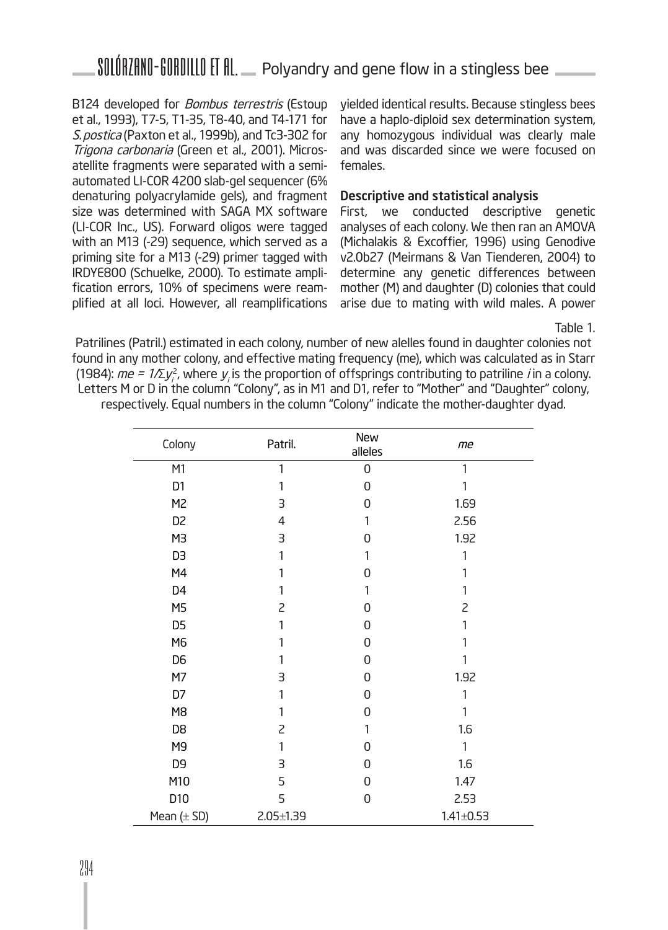B124 developed for *Bombus terrestris* (Estoup et al., 1993), T7-5, T1-35, T8-40, and T4-171 for S. postica (Paxton et al., 1999b), and Tc3-302 for Trigona carbonaria (Green et al., 2001). Microsatellite fragments were separated with a semiautomated LI-COR 4200 slab-gel sequencer (6% denaturing polyacrylamide gels), and fragment size was determined with SAGA MX software (LI-COR Inc., US). Forward oligos were tagged with an M13 (-29) sequence, which served as a priming site for a M13 (-29) primer tagged with IRDYE800 (Schuelke, 2000). To estimate amplification errors, 10% of specimens were reamplified at all loci. However, all reamplifications

yielded identical results. Because stingless bees have a haplo-diploid sex determination system, any homozygous individual was clearly male and was discarded since we were focused on females.

#### Descriptive and statistical analysis

First, we conducted descriptive genetic analyses of each colony. We then ran an AMOVA (Michalakis & Excoffier, 1996) using Genodive v2.0b27 (Meirmans & Van Tienderen, 2004) to determine any genetic differences between mother (M) and daughter (D) colonies that could arise due to mating with wild males. A power

Table 1.

Patrilines (Patril.) estimated in each colony, number of new alelles found in daughter colonies not found in any mother colony, and effective mating frequency (me), which was calculated as in Starr (1984):  $m e$  = 1/Σ $y_i^2$ , where  $y_j$  is the proportion of offsprings contributing to patriline  $i$  in a colony. Letters M or D in the column "Colony", as in M1 and D1, refer to "Mother" and "Daughter" colony, respectively. Equal numbers in the column "Colony" indicate the mother-daughter dyad.

| Colony          | Patril.         | New<br>alleles | me              |
|-----------------|-----------------|----------------|-----------------|
| M <sub>1</sub>  | 1               | $\mathsf 0$    | 1               |
| D1              | 1               | $\overline{0}$ | 1               |
| M <sub>2</sub>  | 3               | 0              | 1.69            |
| D <sub>2</sub>  | $\overline{4}$  | 1              | 2.56            |
| M <sub>3</sub>  | 3               | 0              | 1.92            |
| D <sub>3</sub>  | 1               | 1              | 1               |
| M4              |                 | $\overline{0}$ | 1               |
| D <sub>4</sub>  | 1               | 1              | 1               |
| M <sub>5</sub>  | $\overline{c}$  | 0              | $\overline{c}$  |
| D <sub>5</sub>  | 1               | $\overline{0}$ |                 |
| M6              | 1               | 0              | 1               |
| D <sub>6</sub>  | 1               | 0              | 1               |
| M7              | 3               | 0              | 1.92            |
| D7              | 1               | 0              | 1               |
| M <sub>8</sub>  | 1               | 0              | 1               |
| D <sub>8</sub>  | $\overline{c}$  | 1              | 1.6             |
| M <sub>9</sub>  | 1               | $\overline{0}$ | 1               |
| D <sub>9</sub>  | 3               | 0              | 1.6             |
| M10             | 5               | 0              | 1.47            |
| D10             | 5               | 0              | 2.53            |
| Mean $(\pm SD)$ | $2.05 \pm 1.39$ |                | $1.41 \pm 0.53$ |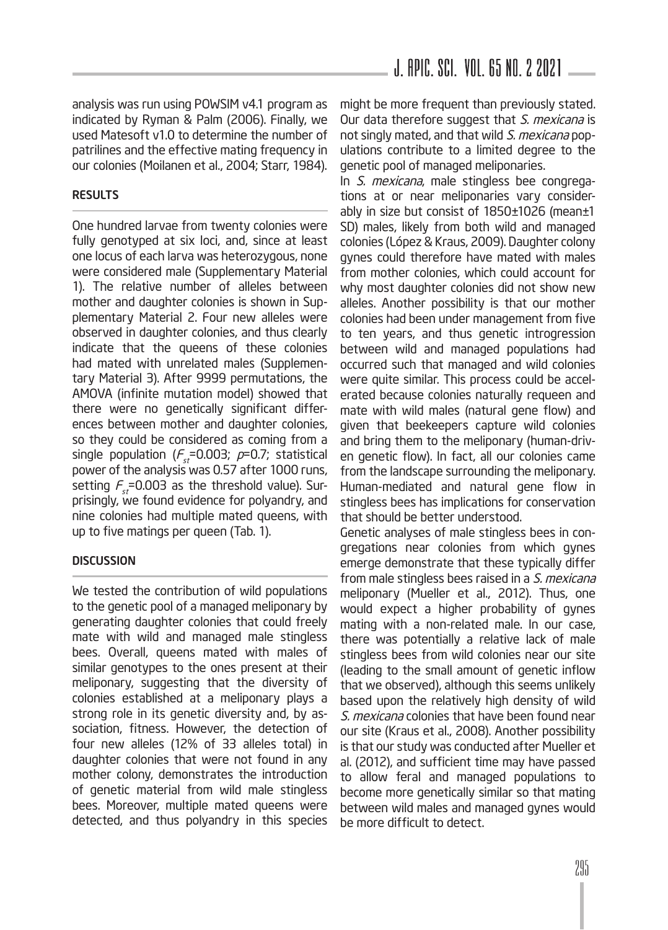analysis was run using POWSIM v4.1 program as indicated by Ryman & Palm (2006). Finally, we used Matesoft v1.0 to determine the number of patrilines and the effective mating frequency in our colonies (Moilanen et al., 2004; Starr, 1984).

#### RESULTS

One hundred larvae from twenty colonies were fully genotyped at six loci, and, since at least one locus of each larva was heterozygous, none were considered male (Supplementary Material 1). The relative number of alleles between mother and daughter colonies is shown in Supplementary Material 2. Four new alleles were observed in daughter colonies, and thus clearly indicate that the queens of these colonies had mated with unrelated males (Supplementary Material 3). After 9999 permutations, the AMOVA (infinite mutation model) showed that there were no genetically significant differences between mother and daughter colonies, so they could be considered as coming from a single population ( $F_{st}$ =0.003;  $p$ =0.7; statistical power of the analysis was 0.57 after 1000 runs, setting  $F_{st}$ =0.003 as the threshold value). Surprisingly, we found evidence for polyandry, and nine colonies had multiple mated queens, with up to five matings per queen (Tab. 1).

#### **DISCUSSION**

We tested the contribution of wild populations to the genetic pool of a managed meliponary by generating daughter colonies that could freely mate with wild and managed male stingless bees. Overall, queens mated with males of similar genotypes to the ones present at their meliponary, suggesting that the diversity of colonies established at a meliponary plays a strong role in its genetic diversity and, by association, fitness. However, the detection of four new alleles (12% of 33 alleles total) in daughter colonies that were not found in any mother colony, demonstrates the introduction of genetic material from wild male stingless bees. Moreover, multiple mated queens were detected, and thus polyandry in this species

might be more frequent than previously stated. Our data therefore suggest that S. mexicana is not singly mated, and that wild S. mexicana populations contribute to a limited degree to the genetic pool of managed meliponaries.

In S. mexicana, male stingless bee congregations at or near meliponaries vary considerably in size but consist of 1850±1026 (mean±1 SD) males, likely from both wild and managed colonies (López & Kraus, 2009). Daughter colony gynes could therefore have mated with males from mother colonies, which could account for why most daughter colonies did not show new alleles. Another possibility is that our mother colonies had been under management from five to ten years, and thus genetic introgression between wild and managed populations had occurred such that managed and wild colonies were quite similar. This process could be accelerated because colonies naturally requeen and mate with wild males (natural gene flow) and given that beekeepers capture wild colonies and bring them to the meliponary (human-driven genetic flow). In fact, all our colonies came from the landscape surrounding the meliponary. Human-mediated and natural gene flow in stingless bees has implications for conservation that should be better understood.

Genetic analyses of male stingless bees in congregations near colonies from which gynes emerge demonstrate that these typically differ from male stingless bees raised in a S. mexicana meliponary (Mueller et al., 2012). Thus, one would expect a higher probability of gynes mating with a non-related male. In our case, there was potentially a relative lack of male stingless bees from wild colonies near our site (leading to the small amount of genetic inflow that we observed), although this seems unlikely based upon the relatively high density of wild S. mexicana colonies that have been found near our site (Kraus et al., 2008). Another possibility is that our study was conducted after Mueller et al. (2012), and sufficient time may have passed to allow feral and managed populations to become more genetically similar so that mating between wild males and managed gynes would be more difficult to detect.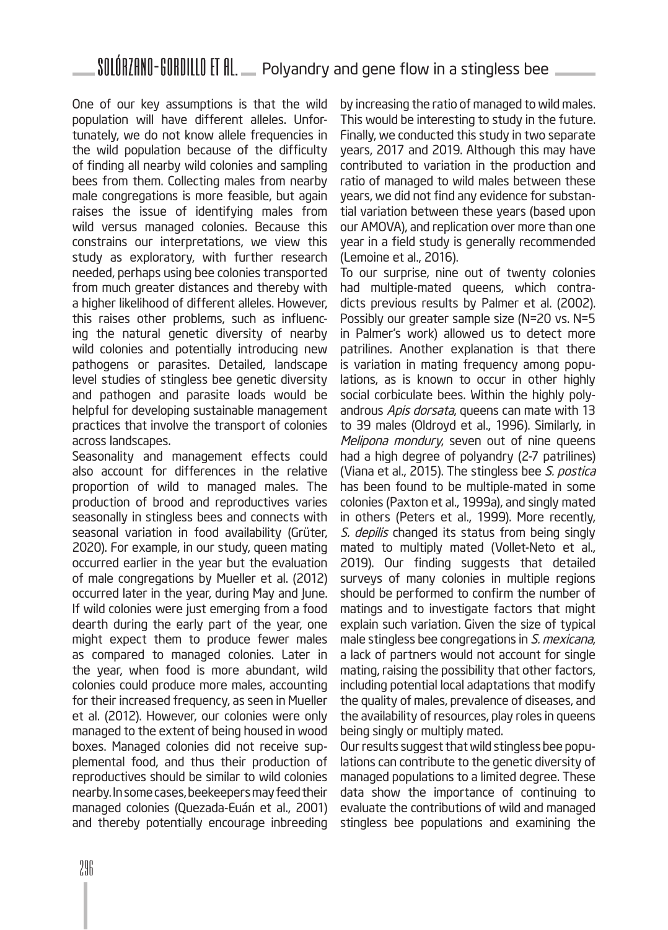One of our key assumptions is that the wild population will have different alleles. Unfortunately, we do not know allele frequencies in the wild population because of the difficulty of finding all nearby wild colonies and sampling bees from them. Collecting males from nearby male congregations is more feasible, but again raises the issue of identifying males from wild versus managed colonies. Because this constrains our interpretations, we view this study as exploratory, with further research needed, perhaps using bee colonies transported from much greater distances and thereby with a higher likelihood of different alleles. However, this raises other problems, such as influencing the natural genetic diversity of nearby wild colonies and potentially introducing new pathogens or parasites. Detailed, landscape level studies of stingless bee genetic diversity and pathogen and parasite loads would be helpful for developing sustainable management practices that involve the transport of colonies across landscapes.

Seasonality and management effects could also account for differences in the relative proportion of wild to managed males. The production of brood and reproductives varies seasonally in stingless bees and connects with seasonal variation in food availability (Grüter, 2020). For example, in our study, queen mating occurred earlier in the year but the evaluation of male congregations by Mueller et al. (2012) occurred later in the year, during May and June. If wild colonies were just emerging from a food dearth during the early part of the year, one might expect them to produce fewer males as compared to managed colonies. Later in the year, when food is more abundant, wild colonies could produce more males, accounting for their increased frequency, as seen in Mueller et al. (2012). However, our colonies were only managed to the extent of being housed in wood boxes. Managed colonies did not receive supplemental food, and thus their production of reproductives should be similar to wild colonies nearby. In some cases, beekeepers may feed their managed colonies (Quezada-Euán et al., 2001) and thereby potentially encourage inbreeding

by increasing the ratio of managed to wild males. This would be interesting to study in the future. Finally, we conducted this study in two separate years, 2017 and 2019. Although this may have contributed to variation in the production and ratio of managed to wild males between these years, we did not find any evidence for substantial variation between these years (based upon our AMOVA), and replication over more than one year in a field study is generally recommended (Lemoine et al., 2016).

To our surprise, nine out of twenty colonies had multiple-mated queens, which contradicts previous results by Palmer et al. (2002). Possibly our greater sample size (N=20 vs. N=5 in Palmer's work) allowed us to detect more patrilines. Another explanation is that there is variation in mating frequency among populations, as is known to occur in other highly social corbiculate bees. Within the highly polyandrous Apis dorsata, queens can mate with 13 to 39 males (Oldroyd et al., 1996). Similarly, in Melipona mondury, seven out of nine queens had a high degree of polyandry (2-7 patrilines) (Viana et al., 2015). The stingless bee S. postica has been found to be multiple-mated in some colonies (Paxton et al., 1999a), and singly mated in others (Peters et al., 1999). More recently, S. depilis changed its status from being singly mated to multiply mated (Vollet-Neto et al., 2019). Our finding suggests that detailed surveys of many colonies in multiple regions should be performed to confirm the number of matings and to investigate factors that might explain such variation. Given the size of typical male stingless bee congregations in S. mexicana, a lack of partners would not account for single mating, raising the possibility that other factors, including potential local adaptations that modify the quality of males, prevalence of diseases, and the availability of resources, play roles in queens being singly or multiply mated.

Our results suggest that wild stingless bee populations can contribute to the genetic diversity of managed populations to a limited degree. These data show the importance of continuing to evaluate the contributions of wild and managed stingless bee populations and examining the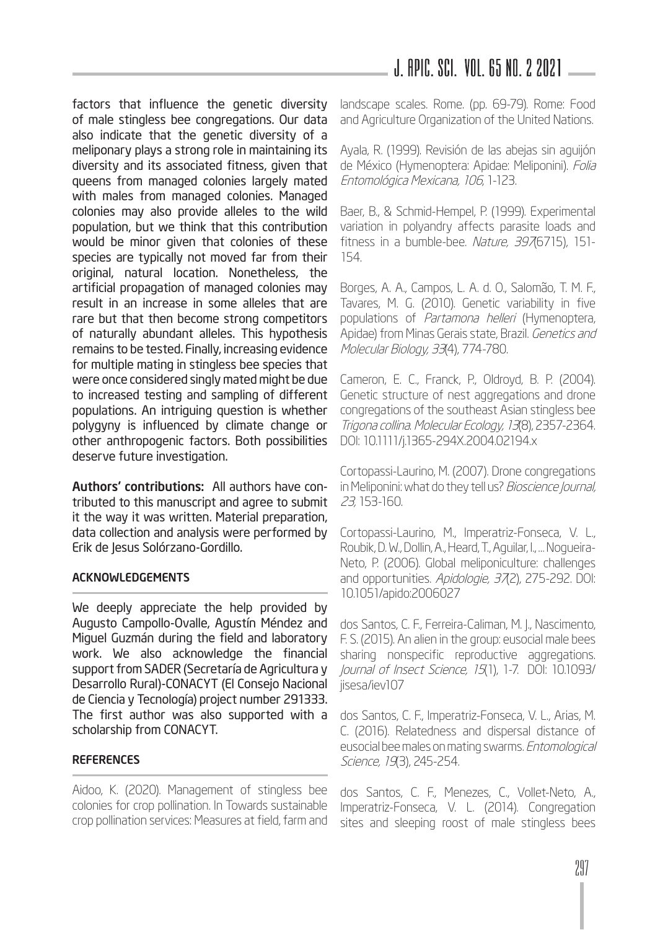J. APIC. SCI. Vol. 65 No. 2 2021

factors that influence the genetic diversity of male stingless bee congregations. Our data also indicate that the genetic diversity of a meliponary plays a strong role in maintaining its diversity and its associated fitness, given that queens from managed colonies largely mated with males from managed colonies. Managed colonies may also provide alleles to the wild population, but we think that this contribution would be minor given that colonies of these species are typically not moved far from their original, natural location. Nonetheless, the artificial propagation of managed colonies may result in an increase in some alleles that are rare but that then become strong competitors of naturally abundant alleles. This hypothesis remains to be tested. Finally, increasing evidence for multiple mating in stingless bee species that were once considered singly mated might be due to increased testing and sampling of different populations. An intriguing question is whether polygyny is influenced by climate change or other anthropogenic factors. Both possibilities deserve future investigation.

Authors' contributions: All authors have contributed to this manuscript and agree to submit it the way it was written. Material preparation, data collection and analysis were performed by Erik de Jesus Solórzano-Gordillo.

### ACKNOWLEDGEMENTS

We deeply appreciate the help provided by Augusto Campollo-Ovalle, Agustín Méndez and Miguel Guzmán during the field and laboratory work. We also acknowledge the financial support from SADER (Secretaría de Agricultura y Desarrollo Rural)-CONACYT (El Consejo Nacional de Ciencia y Tecnología) project number 291333. The first author was also supported with a scholarship from CONACYT.

### **REFERENCES**

Aidoo, K. (2020). Management of stingless bee colonies for crop pollination. In Towards sustainable crop pollination services: Measures at field, farm and

landscape scales. Rome. (pp. 69-79). Rome: Food and Agriculture Organization of the United Nations.

Ayala, R. (1999). Revisión de las abejas sin aguijón de México (Hymenoptera: Apidae: Meliponini). Folia Entomológica Mexicana, 106, 1-123.

Baer, B., & Schmid-Hempel, P. (1999). Experimental variation in polyandry affects parasite loads and fitness in a bumble-bee. Nature, 3976715), 151-154.

Borges, A. A., Campos, L. A. d. O., Salomão, T. M. F., Tavares, M. G. (2010). Genetic variability in five populations of Partamona helleri (Hymenoptera, Apidae) from Minas Gerais state, Brazil. Genetics and Molecular Biology, 33(4), 774-780.

Cameron, E. C., Franck, P., Oldroyd, B. P. (2004). Genetic structure of nest aggregations and drone congregations of the southeast Asian stingless bee Trigona collina. Molecular Ecology, 13(8), 2357-2364. DOI: 10.1111/j.1365-294X.2004.02194.x

Cortopassi-Laurino, M. (2007). Drone congregations in Meliponini: what do they tell us? Bioscience Journal, 23, 153-160.

Cortopassi-Laurino, M., Imperatriz-Fonseca, V. L., Roubik, D. W., Dollin, A., Heard, T., Aguilar, I., … Nogueira-Neto, P. (2006). Global meliponiculture: challenges and opportunities. Apidologie, 37(2), 275-292. DOI: 10.1051/apido:2006027

dos Santos, C. F., Ferreira-Caliman, M. J., Nascimento, F. S. (2015). An alien in the group: eusocial male bees sharing nonspecific reproductive aggregations. Journal of Insect Science, 15(1), 1-7. DOI: 10.1093/ jisesa/iev107

dos Santos, C. F., Imperatriz-Fonseca, V. L., Arias, M. C. (2016). Relatedness and dispersal distance of eusocial bee males on mating swarms. Entomological Science, 19(3), 245-254.

dos Santos, C. F., Menezes, C., Vollet-Neto, A., Imperatriz-Fonseca, V. L. (2014). Congregation sites and sleeping roost of male stingless bees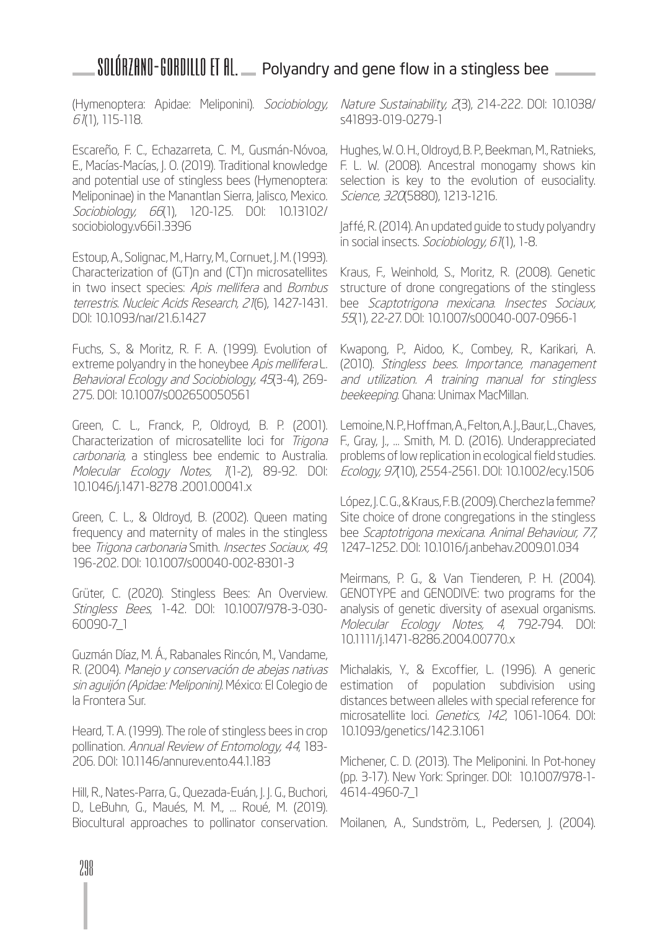(Hymenoptera: Apidae: Meliponini). Sociobiology, 61(1), 115-118.

Escareño, F. C., Echazarreta, C. M., Gusmán-Nóvoa, E., Macías-Macías, J. O. (2019). Traditional knowledge and potential use of stingless bees (Hymenoptera: Meliponinae) in the Manantlan Sierra, Jalisco, Mexico. Sociobiology, 66(1), 120-125. DOI: 10.13102/ sociobiology.v66i1.3396

Estoup, A., Solignac, M., Harry, M., Cornuet, J. M. (1993). Characterization of (GT)n and (CT)n microsatellites in two insect species: Apis mellifera and Bombus terrestris. Nucleic Acids Research, 21(6), 1427-1431. DOI: 10.1093/nar/21.6.1427

Fuchs, S., & Moritz, R. F. A. (1999). Evolution of extreme polyandry in the honeybee Apis mellifera L. Behavioral Ecology and Sociobiology, 45(3-4), 269- 275. DOI: 10.1007/s002650050561

Green, C. L., Franck, P., Oldroyd, B. P. (2001). Characterization of microsatellite loci for Trigona carbonaria, a stingless bee endemic to Australia. Molecular Ecology Notes, 1(1-2), 89-92. DOI: 10.1046/j.1471-8278 .2001.00041.x

Green, C. L., & Oldroyd, B. (2002). Queen mating frequency and maternity of males in the stingless bee Trigona carbonaria Smith. Insectes Sociaux, 49, 196-202. DOI: 10.1007/s00040-002-8301-3

Grüter, C. (2020). Stingless Bees: An Overview. Stingless Bees, 1-42. DOI: 10.1007/978-3-030- 60090-7\_1

Guzmán Díaz, M. Á., Rabanales Rincón, M., Vandame, R. (2004). Manejo y conservación de abejas nativas sin aguijón (Apidae: Meliponini). México: El Colegio de la Frontera Sur.

Heard, T. A. (1999). The role of stingless bees in crop pollination. Annual Review of Entomology, 44, 183- 206. DOI: 10.1146/annurev.ento.44.1.183

Hill, R., Nates-Parra, G., Quezada-Euán, J. J. G., Buchori, D., LeBuhn, G., Maués, M. M., … Roué, M. (2019). Biocultural approaches to pollinator conservation. Nature Sustainability, 2(3), 214-222. DOI: 10.1038/ s41893-019-0279-1

Hughes, W. O. H., Oldroyd, B. P., Beekman, M., Ratnieks, F. L. W. (2008). Ancestral monogamy shows kin selection is key to the evolution of eusociality. Science, 320(5880), 1213-1216.

Jaffé, R. (2014). An updated guide to study polyandry in social insects. Sociobiology, 61(1), 1-8.

Kraus, F., Weinhold, S., Moritz, R. (2008). Genetic structure of drone congregations of the stingless bee Scaptotrigona mexicana. Insectes Sociaux, 55(1), 22-27. DOI: 10.1007/s00040-007-0966-1

Kwapong, P., Aidoo, K., Combey, R., Karikari, A. (2010). Stingless bees. Importance, management and utilization. A training manual for stingless beekeeping. Ghana: Unimax MacMillan.

Lemoine, N. P., Hoffman, A., Felton, A. J., Baur, L., Chaves, F., Gray, J., … Smith, M. D. (2016). Underappreciated problems of low replication in ecological field studies. Ecology, 97(10), 2554-2561. DOI: 10.1002/ecy.1506

López, J. C. G., & Kraus, F. B. (2009). Cherchez la femme? Site choice of drone congregations in the stingless bee Scaptotrigona mexicana. Animal Behaviour, 77, 1247–1252. DOI: 10.1016/j.anbehav.2009.01.034

Meirmans, P. G., & Van Tienderen, P. H. (2004). GENOTYPE and GENODIVE: two programs for the analysis of genetic diversity of asexual organisms. Molecular Ecology Notes, 4, 792-794. DOI: 10.1111/j.1471-8286.2004.00770.x

Michalakis, Y., & Excoffier, L. (1996). A generic estimation of population subdivision using distances between alleles with special reference for microsatellite loci. Genetics, 142, 1061-1064. DOI: 10.1093/genetics/142.3.1061

Michener, C. D. (2013). The Meliponini. In Pot-honey (pp. 3-17). New York: Springer. DOI: 10.1007/978-1- 4614-4960-7\_1

Moilanen, A., Sundström, L., Pedersen, J. (2004).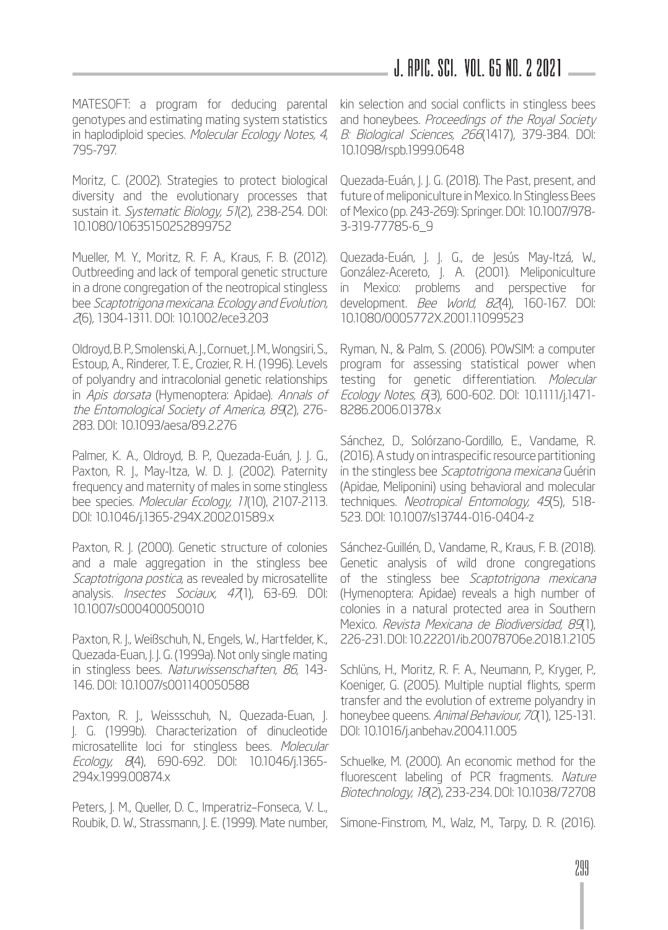### J. APIC. SCI. Vol. 65 No. 2 2021

MATESOFT: a program for deducing parental genotypes and estimating mating system statistics in haplodiploid species. Molecular Ecology Notes, 4, 795-797.

Moritz, C. (2002). Strategies to protect biological diversity and the evolutionary processes that sustain it. Systematic Biology, 51(2), 238-254. DOI: 10.1080/10635150252899752

Mueller, M. Y., Moritz, R. F. A., Kraus, F. B. (2012). Outbreeding and lack of temporal genetic structure in a drone congregation of the neotropical stingless bee Scaptotrigona mexicana. Ecology and Evolution, 2(6), 1304-1311. DOI: 10.1002/ece3.203

Oldroyd, B. P., Smolenski, A. J., Cornuet, J. M., Wongsiri, S., Estoup, A., Rinderer, T. E., Crozier, R. H. (1996). Levels of polyandry and intracolonial genetic relationships in Apis dorsata (Hymenoptera: Apidae). Annals of the Entomological Society of America, 89(2), 276- 283. DOI: 10.1093/aesa/89.2.276

Palmer, K. A., Oldroyd, B. P., Quezada-Euán, J. J. G., Paxton, R. J., May-Itza, W. D. J. (2002). Paternity frequency and maternity of males in some stingless bee species. Molecular Ecology, 11(10), 2107-2113. DOI: 10.1046/j.1365-294X.2002.01589.x

Paxton, R. J. (2000). Genetic structure of colonies and a male aggregation in the stingless bee Scaptotrigona postica, as revealed by microsatellite analysis. *Insectes Sociaux, 47*(1), 63-69. DOI: 10.1007/s000400050010

Paxton, R. J., Weißschuh, N., Engels, W., Hartfelder, K., Quezada-Euan, J. J. G. (1999a). Not only single mating in stingless bees. Naturwissenschaften, 86, 143- 146. DOI: 10.1007/s001140050588

Paxton, R. J., Weissschuh, N., Quezada-Euan, J. J. G. (1999b). Characterization of dinucleotide microsatellite loci for stingless bees. Molecular Ecology, 8(4), 690-692. DOI: 10.1046/j.1365- 294x.1999.00874.x

Peters, J. M., Queller, D. C., Imperatriz–Fonseca, V. L., Roubik, D. W., Strassmann, J. E. (1999). Mate number, kin selection and social conflicts in stingless bees and honeybees. Proceedings of the Royal Society B: Biological Sciences, 266(1417), 379-384. DOI: 10.1098/rspb.1999.0648

Quezada-Euán, J. J. G. (2018). The Past, present, and future of meliponiculture in Mexico. In Stingless Bees of Mexico (pp. 243-269): Springer. DOI: 10.1007/978- 3-319-77785-6\_9

Quezada-Euán, J. J. G., de Jesús May-Itzá, W., González-Acereto, J. A. (2001). Meliponiculture in Mexico: problems and perspective for development. Bee World, 82(4), 160-167. DOI: 10.1080/0005772X.2001.11099523

Ryman, N., & Palm, S. (2006). POWSIM: a computer program for assessing statistical power when testing for genetic differentiation. Molecular Ecology Notes, 6(3), 600-602. DOI: 10.1111/j.1471- 8286.2006.01378.x

Sánchez, D., Solórzano-Gordillo, E., Vandame, R. (2016). A study on intraspecific resource partitioning in the stingless bee Scaptotrigona mexicana Guérin (Apidae, Meliponini) using behavioral and molecular techniques. Neotropical Entomology, 45(5), 518-523. DOI: 10.1007/s13744-016-0404-z

Sánchez-Guillén, D., Vandame, R., Kraus, F. B. (2018). Genetic analysis of wild drone congregations of the stingless bee Scaptotrigona mexicana (Hymenoptera: Apidae) reveals a high number of colonies in a natural protected area in Southern Mexico. Revista Mexicana de Biodiversidad, 89(1), 226-231. DOI: 10.22201/ib.20078706e.2018.1.2105

Schlüns, H., Moritz, R. F. A., Neumann, P., Kryger, P., Koeniger, G. (2005). Multiple nuptial flights, sperm transfer and the evolution of extreme polyandry in honeybee queens. Animal Behaviour, 70(1), 125-131. DOI: 10.1016/j.anbehav.2004.11.005

Schuelke, M. (2000). An economic method for the fluorescent labeling of PCR fragments. Nature Biotechnology, 18(2), 233-234. DOI: 10.1038/72708

Simone-Finstrom, M., Walz, M., Tarpy, D. R. (2016).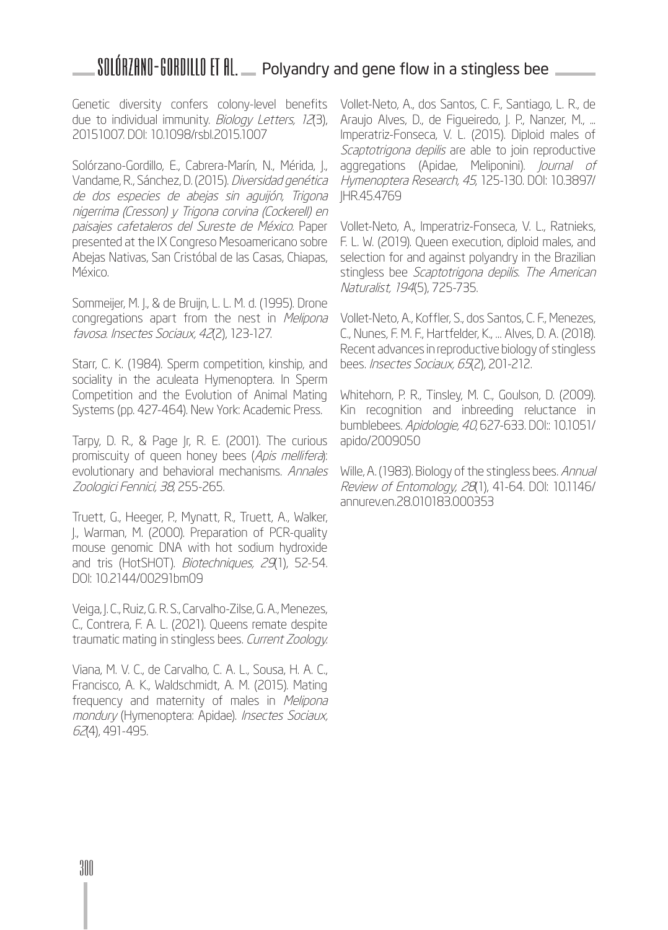Genetic diversity confers colony-level benefits due to individual immunity. Biology Letters, 12(3), 20151007. DOI: 10.1098/rsbl.2015.1007

Solórzano-Gordillo, E., Cabrera-Marín, N., Mérida, J., Vandame, R., Sánchez, D. (2015). Diversidad genética de dos especies de abejas sin aguijón, Trigona nigerrima (Cresson) y Trigona corvina (Cockerell) en paisajes cafetaleros del Sureste de México. Paper presented at the IX Congreso Mesoamericano sobre Abejas Nativas, San Cristóbal de las Casas, Chiapas, México.

Sommeijer, M. J., & de Bruijn, L. L. M. d. (1995). Drone congregations apart from the nest in Melipona favosa. Insectes Sociaux, 42(2), 123-127.

Starr, C. K. (1984). Sperm competition, kinship, and sociality in the aculeata Hymenoptera. In Sperm Competition and the Evolution of Animal Mating Systems (pp. 427-464). New York: Academic Press.

Tarpy, D. R., & Page Jr, R. E. (2001). The curious promiscuity of queen honey bees (Apis mellifera): evolutionary and behavioral mechanisms. Annales Zoologici Fennici, 38, 255-265.

Truett, G., Heeger, P., Mynatt, R., Truett, A., Walker, J., Warman, M. (2000). Preparation of PCR-quality mouse genomic DNA with hot sodium hydroxide and tris (HotSHOT). Biotechniques, 29(1), 52-54. DOI: 10.2144/00291bm09

Veiga, J. C., Ruiz, G. R. S., Carvalho-Zilse, G. A., Menezes, C., Contrera, F. A. L. (2021). Queens remate despite traumatic mating in stingless bees. Current Zoology.

Viana, M. V. C., de Carvalho, C. A. L., Sousa, H. A. C., Francisco, A. K., Waldschmidt, A. M. (2015). Mating frequency and maternity of males in Melipona mondury (Hymenoptera: Apidae). Insectes Sociaux, 62(4), 491-495.

Vollet-Neto, A., dos Santos, C. F., Santiago, L. R., de Araujo Alves, D., de Figueiredo, J. P., Nanzer, M., ... Imperatriz-Fonseca, V. L. (2015). Diploid males of Scaptotrigona depilis are able to join reproductive aggregations (Apidae, Meliponini). Journal of Hymenoptera Research, 45, 125-130. DOI: 10.3897/ JHR.45.4769

Vollet-Neto, A., Imperatriz-Fonseca, V. L., Ratnieks, F. L. W. (2019). Queen execution, diploid males, and selection for and against polyandry in the Brazilian stingless bee Scaptotrigona depilis. The American Naturalist, 194(5), 725-735.

Vollet-Neto, A., Koffler, S., dos Santos, C. F., Menezes, C., Nunes, F. M. F., Hartfelder, K., … Alves, D. A. (2018). Recent advances in reproductive biology of stingless bees. Insectes Sociaux, 65(2), 201-212.

Whitehorn, P. R., Tinsley, M. C., Goulson, D. (2009). Kin recognition and inbreeding reluctance in bumblebees. Apidologie, 40, 627-633. DOI:: 10.1051/ apido/2009050

Wille, A. (1983). Biology of the stingless bees. Annual Review of Entomology, 28(1), 41-64. DOI: 10.1146/ annurev.en.28.010183.000353